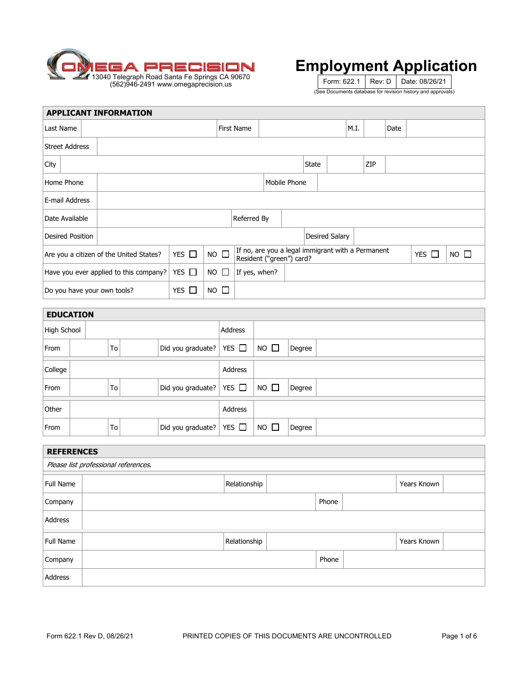

Form: 622.1 | Rev: D | Date: 08/26/21 (See Documents database for revision history and approvals)

|                                                                     | <b>APPLICANT INFORMATION</b>            |            |              |                                                                               |               |  |              |                |      |     |      |            |             |  |
|---------------------------------------------------------------------|-----------------------------------------|------------|--------------|-------------------------------------------------------------------------------|---------------|--|--------------|----------------|------|-----|------|------------|-------------|--|
| Last Name                                                           |                                         |            |              | <b>First Name</b>                                                             |               |  |              |                | M.I. |     | Date |            |             |  |
| <b>Street Address</b>                                               |                                         |            |              |                                                                               |               |  |              |                |      |     |      |            |             |  |
| City                                                                |                                         |            |              |                                                                               |               |  | <b>State</b> |                |      | ZIP |      |            |             |  |
| Home Phone                                                          | Mobile Phone                            |            |              |                                                                               |               |  |              |                |      |     |      |            |             |  |
| E-mail Address                                                      |                                         |            |              |                                                                               |               |  |              |                |      |     |      |            |             |  |
| Date Available                                                      |                                         |            |              | Referred By                                                                   |               |  |              |                |      |     |      |            |             |  |
| <b>Desired Position</b>                                             |                                         |            |              |                                                                               |               |  |              | Desired Salary |      |     |      |            |             |  |
|                                                                     | Are you a citizen of the United States? | YES $\Box$ | NO $\square$ | If no, are you a legal immigrant with a Permanent<br>Resident ("green") card? |               |  |              |                |      |     |      | YES $\Box$ | $NO$ $\Box$ |  |
| YES $\Box$<br>$NO$ $\Box$<br>Have you ever applied to this company? |                                         |            |              |                                                                               | If yes, when? |  |              |                |      |     |      |            |             |  |
| Do you have your own tools?                                         | $NO$ $\Box$                             |            |              |                                                                               |               |  |              |                |      |     |      |            |             |  |
| <b>EDUCATION</b>                                                    |                                         |            |              |                                                                               |               |  |              |                |      |     |      |            |             |  |

| High School |  |  | Address |                                         |            |             |        |  |  |  |
|-------------|--|--|---------|-----------------------------------------|------------|-------------|--------|--|--|--|
| From        |  |  | To      | Did you graduate?                       | YES $\Box$ | $NO$ $\Box$ | Degree |  |  |  |
| College     |  |  | Address |                                         |            |             |        |  |  |  |
| From        |  |  | To      | $ \text{Did you graduate?} $ YES $\Box$ |            | $NO$ $\Box$ | Degree |  |  |  |
| Other       |  |  | Address |                                         |            |             |        |  |  |  |
| From        |  |  | To      | Did you graduate?                       | YES $\Box$ | $NO$ $\Box$ | Degree |  |  |  |

|                                      | <b>REFERENCES</b> |              |  |       |  |             |  |  |  |  |
|--------------------------------------|-------------------|--------------|--|-------|--|-------------|--|--|--|--|
| Please list professional references. |                   |              |  |       |  |             |  |  |  |  |
| Full Name                            |                   | Relationship |  |       |  | Years Known |  |  |  |  |
| Company                              |                   |              |  | Phone |  |             |  |  |  |  |
| Address                              |                   |              |  |       |  |             |  |  |  |  |
| Full Name                            |                   | Relationship |  |       |  | Years Known |  |  |  |  |
| Company                              |                   |              |  | Phone |  |             |  |  |  |  |
| Address                              |                   |              |  |       |  |             |  |  |  |  |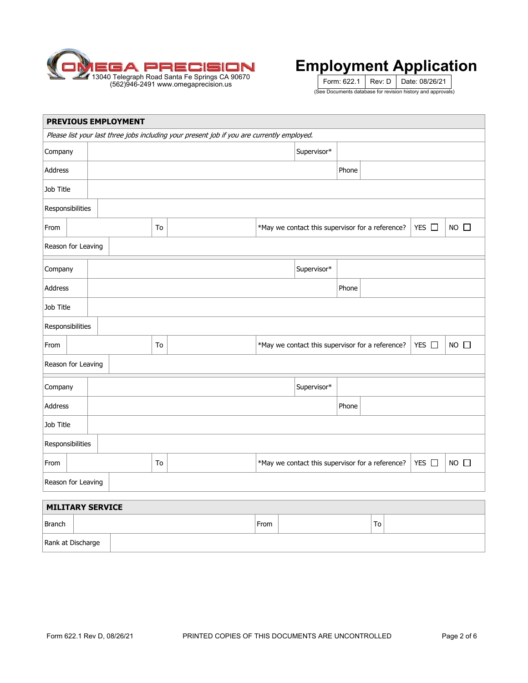

Form: 622.1 | Rev: D | Date: 08/26/21 (See Documents database for revision history and approvals)

|                    | PREVIOUS EMPLOYMENT     |  |                                                                                     |    |                                                                                            |      |  |                                                  |       |    |  |       |                |
|--------------------|-------------------------|--|-------------------------------------------------------------------------------------|----|--------------------------------------------------------------------------------------------|------|--|--------------------------------------------------|-------|----|--|-------|----------------|
|                    |                         |  |                                                                                     |    | Please list your last three jobs including your present job if you are currently employed. |      |  |                                                  |       |    |  |       |                |
| Company            |                         |  |                                                                                     |    |                                                                                            |      |  | Supervisor*                                      |       |    |  |       |                |
| Address            |                         |  |                                                                                     |    |                                                                                            |      |  |                                                  | Phone |    |  |       |                |
| Job Title          |                         |  |                                                                                     |    |                                                                                            |      |  |                                                  |       |    |  |       |                |
| Responsibilities   |                         |  |                                                                                     |    |                                                                                            |      |  |                                                  |       |    |  |       |                |
| From               |                         |  |                                                                                     | To |                                                                                            |      |  | *May we contact this supervisor for a reference? |       |    |  | YES   | $NO$ $\square$ |
| Reason for Leaving |                         |  |                                                                                     |    |                                                                                            |      |  |                                                  |       |    |  |       |                |
| Company            |                         |  | Supervisor*                                                                         |    |                                                                                            |      |  |                                                  |       |    |  |       |                |
| Address            |                         |  | Phone                                                                               |    |                                                                                            |      |  |                                                  |       |    |  |       |                |
| Job Title          |                         |  |                                                                                     |    |                                                                                            |      |  |                                                  |       |    |  |       |                |
|                    | Responsibilities        |  |                                                                                     |    |                                                                                            |      |  |                                                  |       |    |  |       |                |
| From               |                         |  |                                                                                     | To |                                                                                            |      |  | *May we contact this supervisor for a reference? |       |    |  | YES O | $NO$ $\square$ |
| Reason for Leaving |                         |  |                                                                                     |    |                                                                                            |      |  |                                                  |       |    |  |       |                |
| Company            |                         |  |                                                                                     |    |                                                                                            |      |  | Supervisor*                                      |       |    |  |       |                |
| Address            |                         |  |                                                                                     |    |                                                                                            |      |  |                                                  | Phone |    |  |       |                |
| Job Title          |                         |  |                                                                                     |    |                                                                                            |      |  |                                                  |       |    |  |       |                |
| Responsibilities   |                         |  |                                                                                     |    |                                                                                            |      |  |                                                  |       |    |  |       |                |
| From               |                         |  | $NO$ $\Box$<br>*May we contact this supervisor for a reference?<br>YES $\Box$<br>To |    |                                                                                            |      |  |                                                  |       |    |  |       |                |
| Reason for Leaving |                         |  |                                                                                     |    |                                                                                            |      |  |                                                  |       |    |  |       |                |
|                    | <b>MILITARY SERVICE</b> |  |                                                                                     |    |                                                                                            |      |  |                                                  |       |    |  |       |                |
|                    |                         |  |                                                                                     |    |                                                                                            |      |  |                                                  |       |    |  |       |                |
| <b>Branch</b>      |                         |  |                                                                                     |    |                                                                                            | From |  |                                                  |       | To |  |       |                |

Rank at Discharge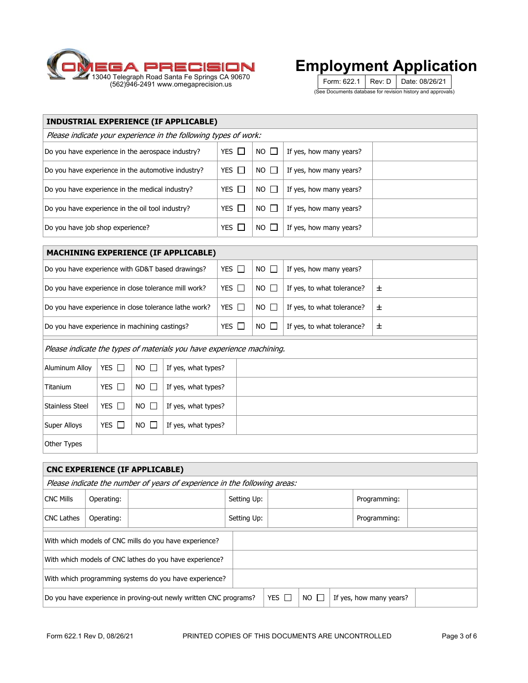

Form: 622.1 | Rev: D | Date: 08/26/21 (See Documents database for revision history and approvals)

| <b>INDUSTRIAL EXPERIENCE (IF APPLICABLE)</b>                    |              |             |                         |  |  |  |  |  |  |
|-----------------------------------------------------------------|--------------|-------------|-------------------------|--|--|--|--|--|--|
| Please indicate your experience in the following types of work: |              |             |                         |  |  |  |  |  |  |
| Do you have experience in the aerospace industry?               | YES $\Box$   | $NO$ $\Box$ | If yes, how many years? |  |  |  |  |  |  |
| Do you have experience in the automotive industry?              | YES $\Box$   | NO II       | If yes, how many years? |  |  |  |  |  |  |
| Do you have experience in the medical industry?                 | $YES$ $\Box$ | NO II       | If yes, how many years? |  |  |  |  |  |  |
| Do you have experience in the oil tool industry?                | YES $\Box$   | $NO$ $\Box$ | If yes, how many years? |  |  |  |  |  |  |
| Do you have job shop experience?                                | YES $\Box$   | $NO$ $\Box$ | If yes, how many years? |  |  |  |  |  |  |

| <b>MACHINING EXPERIENCE (IF APPLICABLE)</b>           |            |             |                            |   |  |  |  |  |  |  |  |
|-------------------------------------------------------|------------|-------------|----------------------------|---|--|--|--|--|--|--|--|
| Do you have experience with GD&T based drawings?      | YES $\Box$ | $NO$ $\Box$ | If yes, how many years?    |   |  |  |  |  |  |  |  |
| Do you have experience in close tolerance mill work?  | YES $\Box$ | $NO$ $\Box$ | If yes, to what tolerance? | 士 |  |  |  |  |  |  |  |
| Do you have experience in close tolerance lathe work? | YES $\Box$ | $NO$ $\Box$ | If yes, to what tolerance? | 士 |  |  |  |  |  |  |  |
| Do you have experience in machining castings?         | YES $\Box$ | $NO$ $\Box$ | If yes, to what tolerance? | 土 |  |  |  |  |  |  |  |

Please indicate the types of materials you have experience machining.

| Aluminum Alloy  | YES $\square$ | $NO$ $\Box$ | If yes, what types? |  |
|-----------------|---------------|-------------|---------------------|--|
| Titanium        | YES $\Box$    | $NO$ $\Box$ | If yes, what types? |  |
| Stainless Steel | YES $\square$ | $NO$ $\Box$ | If yes, what types? |  |
| Super Alloys    | YES $\Box$    | $NO$ $\Box$ | If yes, what types? |  |
| Other Types     |               |             |                     |  |

|                                                                           | <b>CNC EXPERIENCE (IF APPLICABLE)</b>                  |                                                                   |             |              |             |                         |  |  |  |  |  |
|---------------------------------------------------------------------------|--------------------------------------------------------|-------------------------------------------------------------------|-------------|--------------|-------------|-------------------------|--|--|--|--|--|
| Please indicate the number of years of experience in the following areas: |                                                        |                                                                   |             |              |             |                         |  |  |  |  |  |
| <b>CNC Mills</b>                                                          | Operating:                                             |                                                                   | Setting Up: |              |             | Programming:            |  |  |  |  |  |
| <b>CNC Lathes</b>                                                         | Operating:                                             |                                                                   | Setting Up: |              |             | Programming:            |  |  |  |  |  |
|                                                                           | With which models of CNC mills do you have experience? |                                                                   |             |              |             |                         |  |  |  |  |  |
|                                                                           |                                                        | With which models of CNC lathes do you have experience?           |             |              |             |                         |  |  |  |  |  |
|                                                                           | With which programming systems do you have experience? |                                                                   |             |              |             |                         |  |  |  |  |  |
|                                                                           |                                                        | Do you have experience in proving-out newly written CNC programs? |             | YES $\Gamma$ | $NO \Gamma$ | If yes, how many years? |  |  |  |  |  |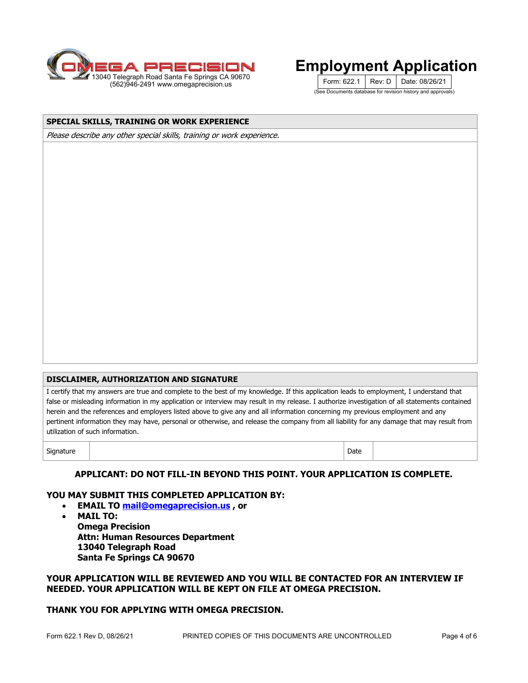

Form: 622.1 | Rev: D | Date: 08/26/21 (See Documents database for revision history and approvals)

#### **SPECIAL SKILLS, TRAINING OR WORK EXPERIENCE**

Please describe any other special skills, training or work experience.

#### **DISCLAIMER, AUTHORIZATION AND SIGNATURE**

I certify that my answers are true and complete to the best of my knowledge. If this application leads to employment, I understand that false or misleading information in my application or interview may result in my release. I authorize investigation of all statements contained herein and the references and employers listed above to give any and all information concerning my previous employment and any pertinent information they may have, personal or otherwise, and release the company from all liability for any damage that may result from utilization of such information.

Signature and Date of the Second Contract of the Second Contract of the Date of the Date of the Date of the Da

| ۰ |  |
|---|--|

#### **APPLICANT: DO NOT FILL-IN BEYOND THIS POINT. YOUR APPLICATION IS COMPLETE.**

#### **YOU MAY SUBMIT THIS COMPLETED APPLICATION BY:**

- **EMAIL TO mail@omegaprecision.us , or**
- **MAIL TO: Omega Precision Attn: Human Resources Department 13040 Telegraph Road Santa Fe Springs CA 90670**

#### **YOUR APPLICATION WILL BE REVIEWED AND YOU WILL BE CONTACTED FOR AN INTERVIEW IF NEEDED. YOUR APPLICATION WILL BE KEPT ON FILE AT OMEGA PRECISION.**

#### **THANK YOU FOR APPLYING WITH OMEGA PRECISION.**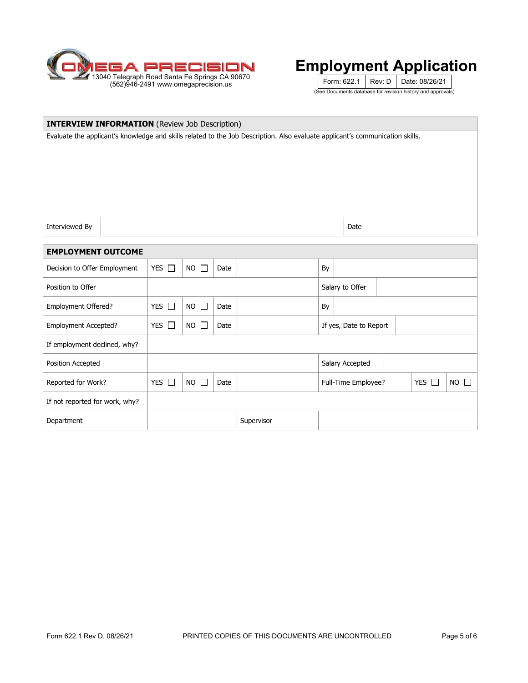

Form: 622.1 | Rev: D | Date: 08/26/21 (See Documents database for revision history and approvals)

| <b>INTERVIEW INFORMATION</b> (Review Job Description)                                                                         |                                      |                           |      |                                                     |                 |                        |  |  |  |  |  |
|-------------------------------------------------------------------------------------------------------------------------------|--------------------------------------|---------------------------|------|-----------------------------------------------------|-----------------|------------------------|--|--|--|--|--|
| Evaluate the applicant's knowledge and skills related to the Job Description. Also evaluate applicant's communication skills. |                                      |                           |      |                                                     |                 |                        |  |  |  |  |  |
| Interviewed By                                                                                                                |                                      |                           |      |                                                     |                 | Date                   |  |  |  |  |  |
| <b>EMPLOYMENT OUTCOME</b>                                                                                                     |                                      |                           |      |                                                     |                 |                        |  |  |  |  |  |
|                                                                                                                               |                                      |                           |      |                                                     |                 |                        |  |  |  |  |  |
| Decision to Offer Employment                                                                                                  | YES $\Box$                           | $NO$ $\Box$<br>By<br>Date |      |                                                     |                 |                        |  |  |  |  |  |
| Position to Offer                                                                                                             |                                      |                           |      |                                                     | Salary to Offer |                        |  |  |  |  |  |
| Employment Offered?                                                                                                           | YES $\Box$                           | $NO$ $\Box$               | Date |                                                     | By              |                        |  |  |  |  |  |
| Employment Accepted?                                                                                                          | YES $\Box$                           | $NO$ $\Box$               | Date |                                                     |                 | If yes, Date to Report |  |  |  |  |  |
| If employment declined, why?                                                                                                  |                                      |                           |      |                                                     |                 |                        |  |  |  |  |  |
| Position Accepted                                                                                                             |                                      |                           |      |                                                     |                 | Salary Accepted        |  |  |  |  |  |
| Reported for Work?                                                                                                            | YES $\square$<br>$NO$ $\Box$<br>Date |                           |      | Full-Time Employee?<br>YES I<br><b>NO</b><br>$\Box$ |                 |                        |  |  |  |  |  |
| If not reported for work, why?                                                                                                |                                      |                           |      |                                                     |                 |                        |  |  |  |  |  |
| Department                                                                                                                    |                                      |                           |      | Supervisor                                          |                 |                        |  |  |  |  |  |